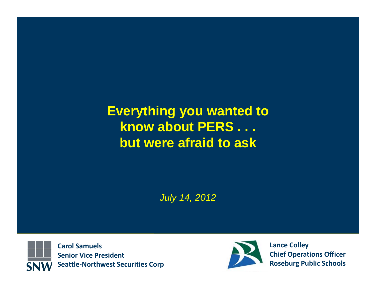**Everything you wanted to**   $k$ now about PERS . . . **but were afraid to ask**

*July 14, 2012*



**Carol SamuelsSenior Vice President Seattle‐Northwest Securities Corp**



**Lance Colley Chief Operations Officer Roseburg Public Schools**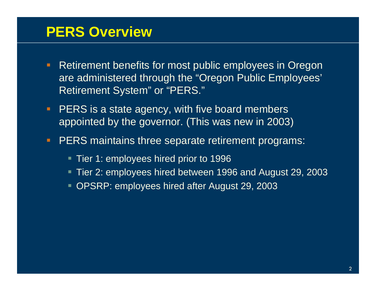## **PERS Overview**

- $\blacksquare$  Retirement benefits for most public employees in Oregon are administered through the "Oregon Public Employees' Retirement System" or "PERS."
- $\blacksquare$  PERS is a state agency, with five board members appointed by the governor. (This was new in 2003)
- $\blacksquare$  PERS maintains three separate retirement programs:
	- $\blacksquare$  Tier 1: employees hired prior to 1996
	- Tier 2: employees hired between 1996 and August 29, 2003
	- $\blacksquare$ OPSRP: employees hired after August 29, 2003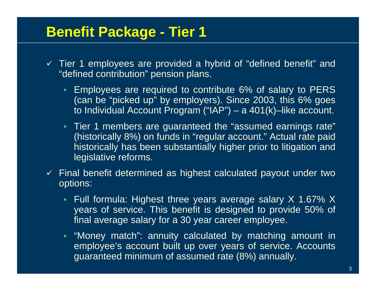## **Benefit Package - Tier 1**

- $\checkmark$  Tier 1 employees are provided a hybrid of "defined benefit" and "defined contribution" pension plans.
	- Employees are required to contribute 6 % of salary to PERS (can be "picked up" by employers). Since 2003, this 6% goes to Individual Account Program ("IAP") – <sup>a</sup> 401(k)–like account.
	- Tier 1 members are guaranteed the "assumed earnings rate" (historically 8%) on funds in "regular account." Actual rate paid historically has been substantially higher prior to litigation and legislative reforms.
- $\checkmark$  Final benefit determined as highest calculated payout under two options:
	- $\blacksquare$  Full formula: Highest three years average salary X 1.67% X years of service. This benefit is designed to provide 50% of final average salary for <sup>a</sup> 30 year career employee.
	- "Money match ": annuity calculated by matching amount in employee's account built up over years of service. Accounts guaranteed minimum of assumed rate (8%) annually.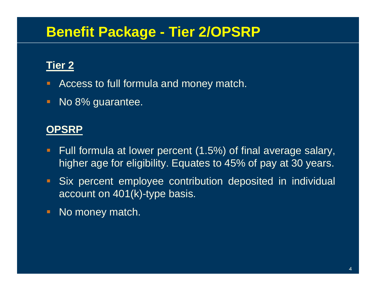# **Benefit Package - Tier 2/OPSRP**

#### **Tier 2**

- $\blacksquare$ Access to full formula and money match.
- п No 8% guarantee.

#### **OPSRP**

- $\blacksquare$  Full formula at lower percent (1.5%) of final average salary, higher age for eligibility. Equates to 45% of pay at 30 years.
- Six percent employee contribution deposited in individual account on 401(k)-type basis.
- $\blacksquare$  . No money match.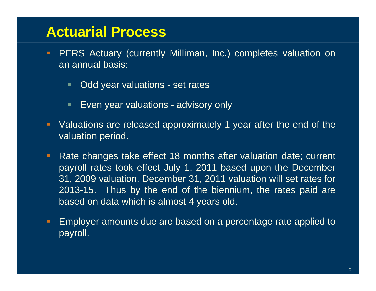## **Actuarial Process**

- **PERS Actuary (currently Milliman, Inc.) completes valuation on** an annual basis:
	- п Odd year valuations - set rates
	- $\blacksquare$ Even year valuations - advisory only
- $\blacksquare$ **•** Valuations are released approximately 1 year after the end of the valuation period.
- $\blacksquare$  Rate changes take effect 18 months after valuation date; current payroll rates took effect July 1, 2011 based upon the December 31, 2009 valuation. December 31, 2011 valuation will set rates for 2013-15. Thus by the end of the biennium, the rates paid are based on data which is almost 4 years old.
- $\blacksquare$  Employer amounts due are based on <sup>a</sup> percentage rate applied to payroll.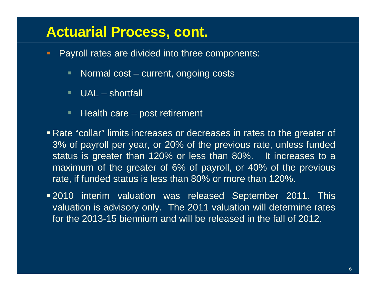## **Actuarial Process, cont.**

- $\blacksquare$ Payroll rates are divided into three components:
	- $\blacksquare$ Normal cost – current, ongoing costs
	- $\blacksquare$  $\blacksquare$  UAL – shortfall
	- $\blacksquare$ Health care – post retirement
- Rate "collar" limits increases or decreases in rates to the greater of 3% of payroll per year, or 20% of the previous rate, unless funded status is greater than 120% or less than 80%. It increases to <sup>a</sup> maximum o f the greate r o f 6% o f payroll, <sup>o</sup> r 40% o f the previous rate, if funded status is less than 80% or more than 120%.
- 2010 interim valuation was released Se ptembe r 2011. This valuation is advisory only. The 2011 valuation will determine rates for the 2013-15 biennium and will be released in the fall of 2012.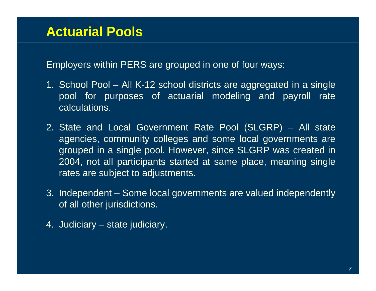## **Actuarial Pools**

Employers within PERS are grouped in one of four ways:

- 1. School Pool All K-12 school districts are aggregated in <sup>a</sup> single pool for purposes of actuarial modeling and payroll rate calculations.
- 2. State and Local Government Rate Pool (SLGRP) All state agencies, community colleges and some local governments are grouped in <sup>a</sup> single pool. However, since SLGRP was created in 2004, not all participants started at same place, meaning single rates are subject to adjustments.
- 3. Independent Some local governments are valued independently of all other jurisdictions.
- 4. Judiciary state judiciary.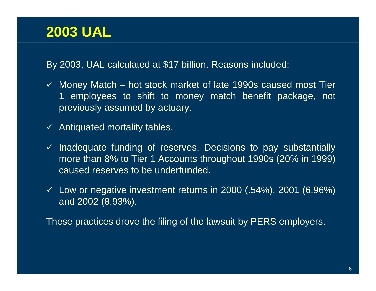# **2003 UAL**

By 2003, UAL calculated at \$17 billion. Reasons included:

- $\checkmark$  Money Match hot stock market of late 1990s caused most Tier 1 employees to shift to money match benefit package, not previously assumed by actuary.
- $\checkmark$  Antiquated mortality tables.
- $\checkmark$  Inadequate funding of reserves. Decisions to pay substantially more than 8% to Tier 1 Accounts throughout 1990s (20% in 1999) caused reserves to be underfunded.
- $\checkmark~$  Low or negative investment returns in 2000 (.54%), 2001 (6.96%) and 2002 (8.93%).

These practices drove the filing of the lawsuit by PERS employers.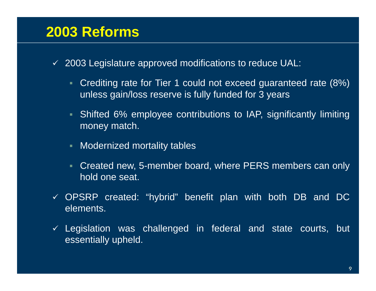## **2003 Reforms**

- $\checkmark$  2003 Legislature approved modifications to reduce UAL:
	- Crediting rate for Tier 1 could not exceed guaranteed rate (8%) unless gain/loss reserve is fully funded for 3 years
	- Shifted 6% employee contributions to IAP, significantly limiting money match.
	- $\mathbf{u} \in \mathbb{R}^n$ Modernized mortality tables
	- Created new, 5-member board, where PERS members can only hold one seat.
- $\checkmark$  OPSRP created: "hybrid" benefit plan with both DB and DC elements.
- $\checkmark$  Legislation was challenged in federal and state courts, but essentially upheld.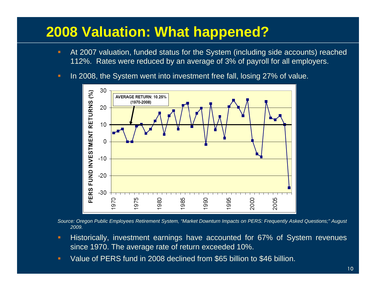## **2008 Valuation: What happened?**

- $\blacksquare$ **At 2007 valuation, funded status for the System (including side accounts) reached** 112%. Rates were reduced by an average of 3% of payroll for all employers.
- In 2008, the System went into investment free fall, losing 27% of value.



Source: Oregon Public Employees Retirement System, "Market Downturn Impacts on PERS: Frequently Asked Questions;" August *2009.*

- ä, **Historically, investment earnings have accounted for 67% of System revenues** since 1970. The average rate of return exceeded 10%.
- п Value of PERS fund in 2008 declined from \$65 billion to \$46 billion.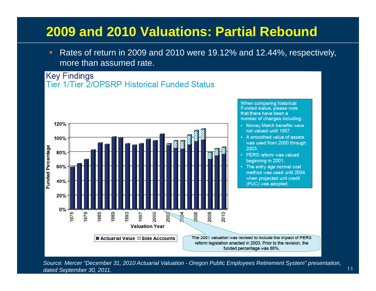## **2009 and 2010 Valuations: Partial Rebound**

 $\blacksquare$ Rates of return in 2009 and 2010 were 19.12% and 12.44%, respectively, more than assumed rate.

When comparing historical

**Key Findings Tier 1/Tier 2/OPSRP Historical Funded Status** 



*Source: Mercer "December 31, 2010 Actuarial Valuation - Oregon Public Employees Retirement System" presentation, dated September 30, 2011.*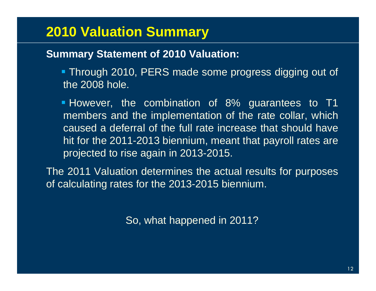## **2010 Valuation Summary**

#### **Summary Statement of 2010 Valuation:**

 Through 2010, PERS made some progress digging out of the 2008 hole.

 However, the combination of 8% guarantees to T1 members and the implementation of the rate collar, which caused a deferral of the full rate increase that should have hit for the 2011-2013 biennium, meant that payroll rates are projected to rise again in 2013-2015.

The 2011 Valuation determines the actual results for purposes of calculating rates for the 2013-2015 biennium.

So, what happened in 2011?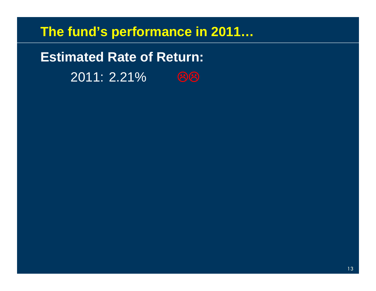**The fund's performance in 2011…**

# **Estimated Rate of Return:** 2011: 2.21%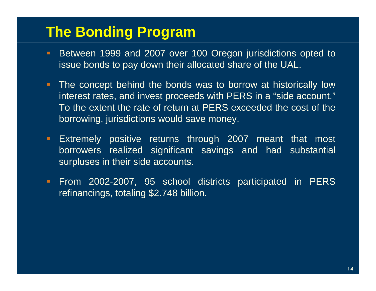## **The Bonding Program**

- $\blacksquare$  . **Between 1999 and 2007 over 100 Oregon jurisdictions opted to** issue bonds to pay down their allocated share of the UAL.
- $\blacksquare$ The concept behind the bonds was to borrow at historically low interest rates, and invest proceeds with PERS in <sup>a</sup> "side account." To the extent the rate of return at PERS exceeded the cost of the borrowing, jurisdictions would save money.
- $\blacksquare$  Extremely positive returns through 2007 meant that most borrowers realized significant savings and had substantial surpluses in their side accounts.
- **FIFLE 1002-2007, 95 school districts participated in PERS** refinancings, totaling \$2.748 billion.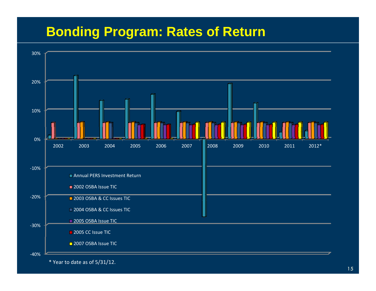## **Bonding Program: Rates of Return**



15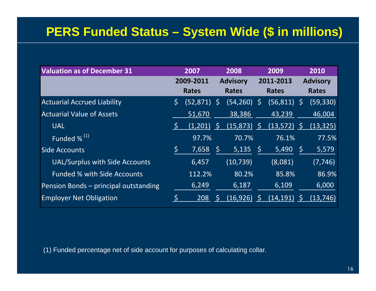## **PERS Funded Status – System Wide (\$ in millions)**

| <b>Valuation as of December 31</b>    | 2007        |               |                 | 2008           |              | 2009          |    | 2010            |
|---------------------------------------|-------------|---------------|-----------------|----------------|--------------|---------------|----|-----------------|
|                                       | 2009-2011   |               | <b>Advisory</b> |                | 2011-2013    |               |    | <b>Advisory</b> |
|                                       |             | <b>Rates</b>  |                 | <b>Rates</b>   |              | <b>Rates</b>  |    | Rates           |
| <b>Actuarial Accrued Liability</b>    | \$          | $(52,871)$ \$ |                 | (54, 260)      | <sub>S</sub> | (56, 811)     | S. | (59, 330)       |
| <b>Actuarial Value of Assets</b>      |             | 51,670        |                 | 38,386         |              | 43,239        |    | 46,004          |
| <b>UAL</b>                            | <b>S</b>    | (1,201)       | S               | $(15, 873)$ \$ |              | $(13,572)$ \$ |    | (13, 325)       |
| Funded % <sup>(1)</sup>               |             | 97.7%         |                 | 70.7%          |              | 76.1%         |    | 77.5%           |
| <b>Side Accounts</b>                  | $\varsigma$ | 7,658         |                 | 5,135          | $\mathsf{S}$ | 5,490         |    | 5,579           |
| <b>UAL/Surplus with Side Accounts</b> |             | 6,457         |                 | (10, 739)      |              | (8,081)       |    | (7, 746)        |
| <b>Funded % with Side Accounts</b>    |             | 112.2%        |                 | 80.2%          |              | 85.8%         |    | 86.9%           |
| Pension Bonds - principal outstanding |             | 6,249         |                 | 6,187          |              | 6,109         |    | 6,000           |
| <b>Employer Net Obligation</b>        |             | 208           |                 | (16,926)       |              | (14,191)      |    | (13, 746)       |

(1) Funded percentage net of side account for purposes of calculating collar.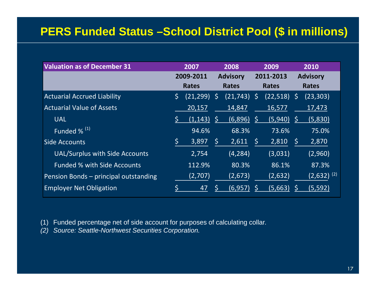#### **PERS Funded Status –School District Pool (\$ in millions)**

| <b>Valuation as of December 31</b>    |              | 2007           |                 | 2008          |               | 2009          | 2010                |                          |
|---------------------------------------|--------------|----------------|-----------------|---------------|---------------|---------------|---------------------|--------------------------|
|                                       | 2009-2011    |                | <b>Advisory</b> |               | 2011-2013     |               |                     | <b>Advisory</b>          |
|                                       |              | <b>Rates</b>   |                 | <b>Rates</b>  |               | <b>Rates</b>  |                     | <b>Rates</b>             |
| <b>Actuarial Accrued Liability</b>    | $\mathsf{S}$ | $(21, 299)$ \$ |                 | $(21,743)$ \$ |               | $(22,518)$ \$ |                     | (23, 303)                |
| <b>Actuarial Value of Assets</b>      |              | 20,157         |                 | 14,847        |               | 16,577        |                     | 17,473                   |
| <b>UAL</b>                            | S            | (1, 143)       | S               | (6,896)       | $\mathsf{S}$  | (5,940)       | $\mathsf{S}$        | (5,830)                  |
| Funded % $(1)$                        |              | 94.6%          |                 | 68.3%         |               | 73.6%         |                     | 75.0%                    |
| <b>Side Accounts</b>                  | \$           | 3,897          | $\varsigma$     | 2,611         | <sub>\$</sub> | 2,810         | $\vert \zeta \vert$ | 2,870                    |
| <b>UAL/Surplus with Side Accounts</b> |              | 2,754          |                 | (4, 284)      |               | (3,031)       |                     | (2,960)                  |
| <b>Funded % with Side Accounts</b>    |              | 112.9%         |                 | 80.3%         |               | 86.1%         |                     | 87.3%                    |
| Pension Bonds - principal outstanding |              | (2,707)        |                 | (2, 673)      |               | (2,632)       |                     | $(2,632)$ <sup>(2)</sup> |
| <b>Employer Net Obligation</b>        |              | 47             |                 | (6,957)       |               | (5,663)       |                     | (5,592)                  |

(1) Funded percentage net of side account for purposes of calculating collar.

*(2) Source: Seattle-Northwest Securities Corporation.*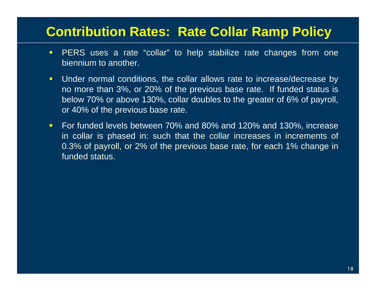### **Contribution Rates: Rate Collar Ramp Policy**

- $\blacksquare$  PERS uses a rate "collar " to help stabilize rate changes from one biennium to another.
- $\blacksquare$  Under normal conditions, the collar allows rate to increase/decrease by no more than 3 %, or 20 % of the previous base rate. If funded status is below 70% or above 130%, collar doubles to the greater of 6% of payroll, or 40% of the previous base rate.
- $\blacksquare$ ■ For funded levels between 70% and 80% and 120% and 130%, increase in collar is phased in: such that the collar increases in increments of 0.3% of payroll, or 2% of the previous base rate, for each 1% change in funded status.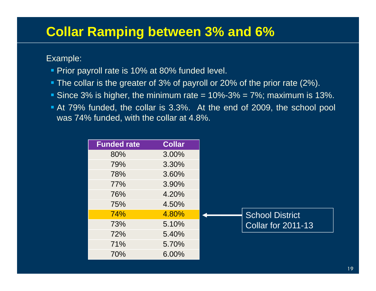## **Collar Ramping between 3% and 6%**

#### Example:

- **Prior payroll rate is 10% at 80% funded level.**
- **The collar is the greater of 3% of payroll or 20% of the prior rate (2%).**
- Since 3% is higher, the minimum rate =  $10\%$ -3% =  $7\%$ ; maximum is 13%.
- At 79% funded, the collar is 3.3%. At the end of 2009, the school pool was 74% funded, with the collar at 4.8%.

| <b>Funded rate</b> | <b>Collar</b> |                           |
|--------------------|---------------|---------------------------|
| 80%                | 3.00%         |                           |
| 79%                | 3.30%         |                           |
| 78%                | 3.60%         |                           |
| 77%                | 3.90%         |                           |
| 76%                | 4.20%         |                           |
| 75%                | 4.50%         |                           |
| 74%                | 4.80%         | <b>School District</b>    |
| 73%                | 5.10%         | <b>Collar for 2011-13</b> |
| 72%                | 5.40%         |                           |
| 71%                | 5.70%         |                           |
| 70%                | 6.00%         |                           |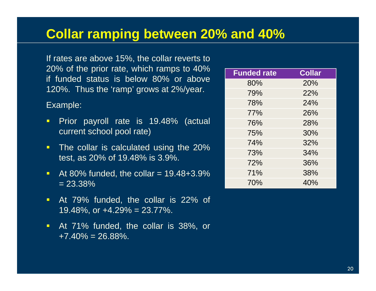### **Collar ramping between 20% and 40%**

If rates are above 15%, the colla r reverts to 20% of the prior rate, which ramps to 40% if funded status is below 80% or above120%. Thus the 'ramp' grows at 2%/year. \_\_\_\_\_\_\_\_\_\_\_\_\_\_\_\_\_\_\_\_\_\_\_\_\_\_\_\_\_\_\_\_\_\_22%

#### Example:

- $\blacksquare$ Prior payroll rate is 19.48% (actual current school pool rate)
- $\blacksquare$  The collar is calculated using the 20% test, as 20% of 19.48% is 3.9%.
- At 80% funded, the collar  $= 19.48 + 3.9%$ = 23.38%
- $\blacksquare$ **At 79% funded, the collar is 22% of** 19.48%, or  $+4.29% = 23.77%$ .
- At 71% funded, the collar is 38%, or +7 40 %= 26 88 %7.4026.88%.

| <b>Funded rate</b> | <b>Collar</b> |
|--------------------|---------------|
| 80%                | 20%           |
| 79%                | 22%           |
| 78%                | 24%           |
| 77%                | 26%           |
| 76%                | 28%           |
| 75%                | 30%           |
| 74%                | 32%           |
| 73%                | 34%           |
| 72%                | 36%           |
| 71%                | 38%           |
| 70%                | 40%           |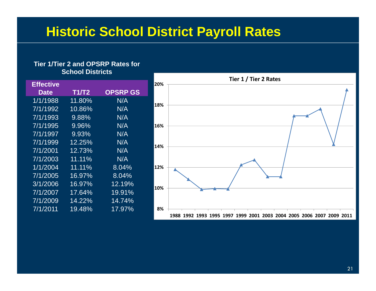### **Historic School District Payroll Rates**

#### **Tier 1/Tier 2 and OPSRP Rates for School Districts**

| Effective   |          |                 |
|-------------|----------|-----------------|
| <b>Date</b> | T1/T2    | <b>OPSRP GS</b> |
| 1/1/1988    | 11.80%   | N/A             |
| 7/1/1992    | 10.86%   | N/A             |
| 7/1/1993    | $9.88\%$ | N/A             |
| 7/1/1995    | 9.96%    | N/A             |
| 7/1/1997    | 9.93%    | N/A             |
| 7/1/1999    | 12.25%   | N/A             |
| 7/1/2001    | 12.73%   | N/A             |
| 7/1/2003    | 11.11%   | N/A             |
| 1/1/2004    | 11.11%   | 8.04%           |
| 7/1/2005    | 16.97%   | 8.04%           |
| 3/1/2006    | 16.97%   | 12.19%          |
| 7/1/2007    | 17.64%   | 19.91%          |
| 7/1/2009    | 14.22%   | 14.74%          |
| 7/1/2011    | 19.48%   | 17.97%          |

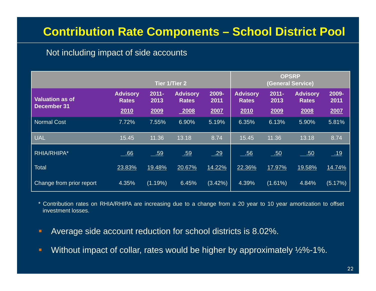#### **Contribution Rate Components – School District Pool**

#### Not including impact of side accounts

|                          |                                 |                  | Tier 1/Tier 2                   |               | <b>OPSRP</b><br>(General Service) |                  |                                 |               |  |  |
|--------------------------|---------------------------------|------------------|---------------------------------|---------------|-----------------------------------|------------------|---------------------------------|---------------|--|--|
| <b>Valuation as of</b>   | <b>Advisory</b><br><b>Rates</b> | $2011 -$<br>2013 | <b>Advisory</b><br><b>Rates</b> | 2009-<br>2011 | <b>Advisory</b><br><b>Rates</b>   | $2011 -$<br>2013 | <b>Advisory</b><br><b>Rates</b> | 2009-<br>2011 |  |  |
| <b>December 31</b>       | <b>2010</b>                     | 2009             | 2008                            | 2007          | 2010                              | 2009             | 2008                            | 2007          |  |  |
| <b>Normal Cost</b>       | 7.72%                           | 7.55%            | 6.90%                           | 5.19%         | 6.35%                             | 6.13%            | 5.90%                           | 5.81%         |  |  |
| <b>UAL</b>               | 15.45                           | 11.36            | 13.18                           | 8.74          | 15.45                             | 11.36            | 13.18                           | 8.74          |  |  |
| <b>RHIA/RHIPA*</b>       | <u>.66</u>                      | <u>.59</u>       | .59                             | $-29$         | <u>.56</u>                        | $-.50$           | <u>.50</u>                      | $-19$         |  |  |
| <b>Total</b>             | 23.83%                          | 19.48%           | 20.67%                          | 14.22%        | 22.36%                            | 17.97%           | 19.58%                          | 14.74%        |  |  |
| Change from prior report | 4.35%                           | (1.19%)          | 6.45%                           | (3.42%)       | 4.39%                             | (1.61%)          | 4.84%                           | (5.17%)       |  |  |

\* Contribution rates on RHIA/RHIPA are increasing due to <sup>a</sup> change from <sup>a</sup> 20 year to 10 year amortization to offset investment losses.

- ш Average side account reduction for school districts is 8.02%.
- $\blacksquare$ Without impact of collar, rates would be higher by approximately  $1/2$ %-1%.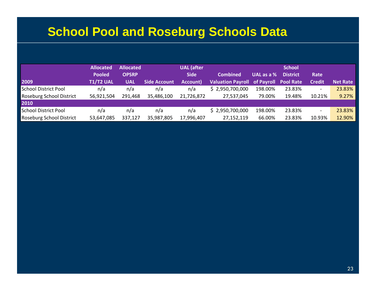## **School Pool and Roseburg Schools Data**

|                                 | <b>Allocated</b> | <b>Allocated</b> |                     | <b>UAL</b> (after |                                               |              | <b>School</b>   |                          |                 |
|---------------------------------|------------------|------------------|---------------------|-------------------|-----------------------------------------------|--------------|-----------------|--------------------------|-----------------|
|                                 | <b>Pooled</b>    | <b>OPSRP</b>     |                     | <b>Side</b>       | <b>Combined</b>                               | UAL as a $%$ | <b>District</b> | Rate                     |                 |
| 2009                            | <b>T1/T2 UAL</b> | <b>UAL</b>       | <b>Side Account</b> | Account)          | <b>Valuation Payroll of Payroll Pool Rate</b> |              |                 | <b>Credit</b>            | <b>Net Rate</b> |
| <b>School District Pool</b>     | n/a              | n/a              | n/a                 | n/a               | \$2,950,700,000                               | 198.00%      | 23.83%          | $\overline{\phantom{a}}$ | 23.83%          |
| <b>Roseburg School District</b> | 56,921,504       | 291,468          | 35,486,100          | 21,726,872        | 27,537,045                                    | 79.00%       | 19.48%          | 10.21%                   | 9.27%           |
| 2010                            |                  |                  |                     |                   |                                               |              |                 |                          |                 |
| <b>School District Pool</b>     | n/a              | n/a              | n/a                 | n/a               | \$2,950,700,000                               | 198.00%      | 23.83%          | $\overline{\phantom{a}}$ | 23.83%          |
| <b>Roseburg School District</b> | 53,647,085       | 337,127          | 35,987,805          | 17,996,407        | 27,152,119                                    | 66.00%       | 23.83%          | 10.93%                   | 12.90%          |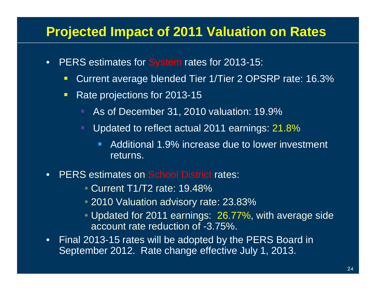## **Projected Impact of 2011 Valuation on Rates**

- •PERS estimates for System rates for 2013-15:
	- $\Box$ Current average blended Tier 1/Tier 2 OPSRP rate: 16.3%
	- $\Box$  Rate projections for 2013-15
		- As of December 31, 2010 valuation: 19.9%
		- Updated to reflect actual 2011 earnings: earnings:21 8%.
			- $\blacksquare$  Additional 1.9% increase due to lower investment returns.
- PERS estimates on School District rates:
	- Current T1/T2 rate: 19.48%
	- $\bullet$  2010 Valuation advisory rate: 23.83%
	- Updated for 2011 earnings: 26.77%, with average side account rate reduction of -3.75%.
- Final 2013-15 rates will be adopted by the PERS Board in •September 2012. Rate change effective July 1, 2013.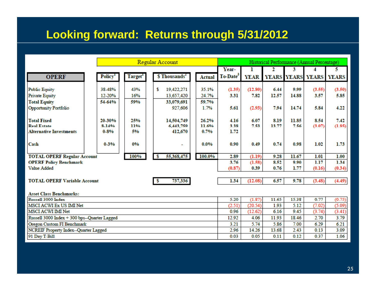## **Looking forward: Returns through 5/31/2012**

|                                                                            |                              |                     | Regular Account |                                        |                           |                      | Historical Performance (Annual Percentage) |               |                    |                |                |  |
|----------------------------------------------------------------------------|------------------------------|---------------------|-----------------|----------------------------------------|---------------------------|----------------------|--------------------------------------------|---------------|--------------------|----------------|----------------|--|
|                                                                            |                              |                     |                 |                                        |                           | Year-                |                                            | 2             | 3                  |                | 5              |  |
| <b>OPERF</b>                                                               | Policy <sup>1</sup>          | Target <sup>1</sup> |                 | \$ Thousands <sup>2</sup>              | <b>Actual</b>             | To-Date <sup>3</sup> | <b>YEAR</b>                                |               | <b>YEARS YEARS</b> | <b>YEARS</b>   | <b>YEARS</b>   |  |
| <b>Public Equity</b><br>Private Equity                                     | 38-48%<br>12-20%<br>54-64%   | 43%<br>16%<br>59%   | \$              | 19,422,271<br>13,657,420<br>33,079,691 | 35.1%<br>24.7%<br>59.7%   | (1.35)<br>3.31       | (12.80)<br>7.82                            | 6.44<br>12.57 | 9.99<br>14.88      | (3.55)<br>3.57 | (3.50)<br>5.85 |  |
| <b>Total Equity</b><br><b>Opportunity Portfolio</b>                        |                              |                     |                 | 927,606                                | 1.7%                      | 5.61                 | (2.93)                                     | 7.94          | 14.74              | 5.84           | 4.22           |  |
| <b>Total Fixed</b><br><b>Real Estate</b><br><b>Alternative Investments</b> | 20-30%<br>8-14%<br>$0 - 8\%$ | 25%<br>11%<br>5%    |                 | 14,504,749<br>6,443,759<br>412,670     | 26.2%<br>11.6%<br>$0.7\%$ | 4.16<br>3.38<br>1.72 | 6.07<br>7.53                               | 8.19<br>13.77 | 11.85<br>7.56      | 8.54<br>(3.07) | 7.42<br>(1.85) |  |
| Cash                                                                       | $0 - 3%$                     | 0%                  |                 | -                                      | $0.0\%$                   | 0.90                 | 0.49                                       | 0.74          | 0.98               | 1.02           | 1.73           |  |
| <b>TOTAL OPERF Regular Account</b>                                         |                              | 100%                | \$              | 55,368,475                             | 100.0%                    | 2.89                 | (1.19)                                     | 9.28          | 11.67              | 1.01           | 1.00           |  |
| <b>OPERF Policy Benchmark</b>                                              |                              |                     |                 |                                        |                           | 3.76                 | (1.58)                                     | 8.52          | 9.90               | 1.17           | 1.34           |  |
| Value Added                                                                |                              |                     |                 |                                        |                           | (0.87)               | 0.39                                       | 0.76          | 1.77               | (0.16)         | (0.34)         |  |
| <b>TOTAL OPERF Variable Account</b>                                        |                              |                     | -S              | 737,336                                |                           | 1.34                 | (12.08)                                    | 6.57          | 9.78               | (3.48)         | (4.49)         |  |
| <b>Asset Class Benchmarks:</b>                                             |                              |                     |                 |                                        |                           |                      |                                            |               |                    |                |                |  |
| Russell 3000 Index                                                         |                              |                     |                 |                                        |                           | 5.20                 | (1.87)                                     | 11.65         | 15.38              | 0.77           | (0.75)         |  |
| MSCI ACWI Ex US IMI Net                                                    |                              |                     |                 |                                        |                           | (2.51)               | (20.54)                                    | 1.93          | 5.12               | (7.02)         | (5.09)         |  |
| <b>MSCI ACWI IMI Net</b>                                                   |                              |                     |                 |                                        |                           | 0.96                 | (12.62)                                    | 6.16          | 9.45               | (3.74)         | (3.41)         |  |
| Russell 3000 Index + 300 bps--Quarter Lagged                               |                              |                     |                 |                                        |                           | 12.92                | 4.06                                       | 11.93         | 18.46              | 2.70           | 3.79           |  |
| <b>Oregon Custom FI Benchmark</b>                                          |                              |                     |                 |                                        |                           | 3.21                 | 5.74                                       | 5.86          | 7.00               | 6.29           | 6.21           |  |
| NCREIF Property Index--Quarter Lagged                                      |                              |                     |                 |                                        |                           | 2.96                 | 14.26                                      | 13.68         | 2.43               | 0.13           | 3.09           |  |
| 91 Day T-Bill                                                              |                              |                     |                 |                                        |                           | 0.03                 | 0.05                                       | 0.11          | 0.12               | 0.37           | 1.06           |  |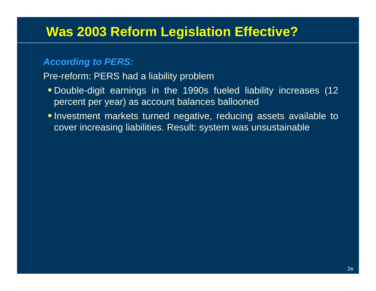## **Was 2003 Reform Legislation Effective?**

#### *According to PERS:*

Pre-reform: PERS had <sup>a</sup> liability problem

- Double -digit earnings in the 1990 s fueled liability increases (12 percent per year) as account balances ballooned
- **Investment markets turned negative, reducing assets available to** cover increasing liabilities. Result: system was unsustainable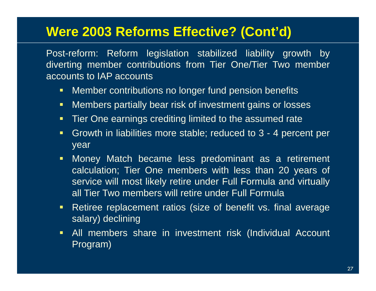## **Were 2003 Reforms Effective? (Cont'd)**

Post -reform: Reform legislation stabilized liability growth by diverting member contributions from Tier One/Tier Two member accounts to IAP accounts

- $\blacksquare$ **• Member contributions no longer fund pension benefits**
- $\blacksquare$ Members partially bear risk of investment gains or losses
- $\blacksquare$ Tier One earnings crediting limited to the assumed rate
- $\blacksquare$  Growth in liabilities more stable; reduced to 3 - 4 percent per year
- $\blacksquare$  Mone y Match became less predominant as <sup>a</sup> retirement calculation; Tier One members with less than 20 years of service will most likely retire under Full Formula and virtually all Tier Two members will retire under Full Formula
- $\blacksquare$  Retiree replacement ratios (size of benefit vs. final average salary) declining
- $\blacksquare$  All members share in investment risk (Individual Account Program)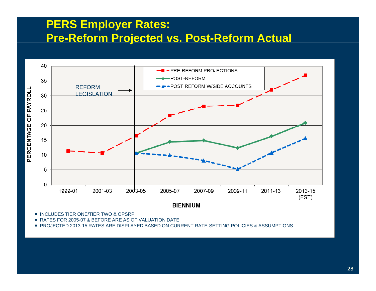#### **PERS Employer Rates: Pre-Reform Projected vs. Post-Reform Actual**



- $\blacksquare$  INCLUDES TIER ONE/TIER TWO & OPSRP
- RATES FOR 2005-07 & BEFORE ARE AS OF VALUATION DATE
- PROJECTED 2013-15 RATES ARE DISPLAYED BASED ON CURRENT RATE-SETTING POLICIES & ASSUMPTIONS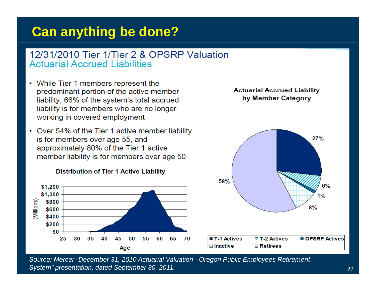## **Can anything be done?**

#### 12/31/2010 Tier 1/Tier 2 & OPSRP Valuation **Actuarial Accrued Liabilities**

- While Tier 1 members represent the predominant portion of the active member liability, 66% of the system's total accrued liability is for members who are no longer working in covered employment
- Over 54% of the Tier 1 active member liability is for members over age 55, and approximately 80% of the Tier 1 active member liability is for members over age 50

**Distribution of Tier 1 Active Liability** 





*Source: Mercer "December 31, 2010 Actuarial Valuation - Oregon Public Employees Retirement System" presentation, dated September 30, 2011.*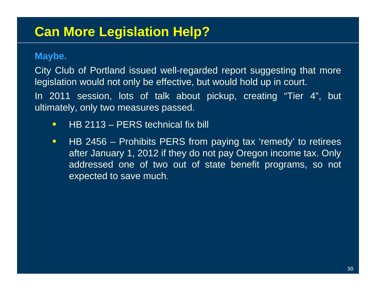## **Can More Legislation Help?**

#### **Maybe.**

City Club of Portland issued well-regarded report suggesting that more legislation would not only be effective, but would hold up in court.

In 2011 session, lots of talk about pickup, creating "Tier 4", but ultimately, only two measures passed.

- $\overline{\Box}$ **HB 2113 - PERS technical fix bill**
- $\Box$  HB 2456 – Prohibits PERS from paying tax 'remedy' to retirees after January 1, 2012 if they do not pay Oregon income tax. Only addressed one of two out of state benefit programs, so not expected to save much.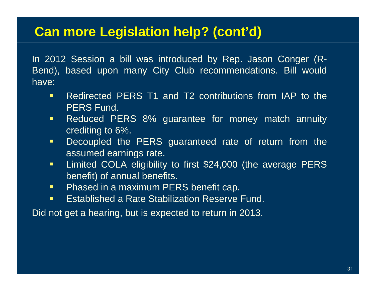## **Can more Legislation help? (cont'd)**

In 2012 Session <sup>a</sup> bill was introduced by Rep. Jason Conge r (R-Bend), based upon many City Club recommendations. Bill would have:

- $\blacksquare$ **Redirected PERS T1 and T2 contributions from IAP to the** PERS Fund.
- $\blacksquare$  Reduced PERS 8% guarantee for money match annuity crediting t o 6 %.
- $\blacksquare$  Decoupled the PERS guaranteed rate of return from the assumed earnings rate.
- $\blacksquare$ **E** Limited COLA eligibility to first \$24,000 (the average PERS benefit) of annual benefits.
- $\blacksquare$ Phased in <sup>a</sup> maximum PERS benefit cap.
- $\blacksquare$ **E** Established a Rate Stabilization Reserve Fund.

Did not get <sup>a</sup> hearing, but is expected to return in 2013.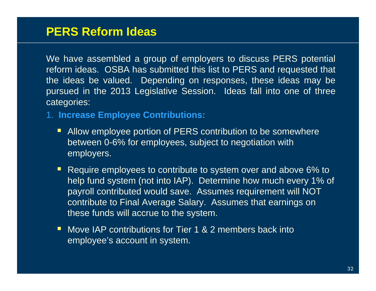#### **PERS Reform Ideas**

We have assembled <sup>a</sup> group of employers to discuss PERS potential reform ideas. OSBA has submitted this list to PERS and requested that the ideas be valued. Depending on responses, these ideas may be pursued in the 2013 Legislative Session. Ideas fall into one of three categories:

- 1. **Increase Employee Contributions:**
	- Allow employee portion of PERS contribution to be somewhere between 0-6% for employees, subject to negotiation with employers.
	- Require employees to contribute to system over and above 6% to help fund system (not into IAP). Determine how much every 1% of payroll contributed would save. Assumes requirement will NOT contribute to Final Average Salary. Assumes that earnings on these funds will accrue to the system.
	- Move IAP contributions for Tier 1 & 2 members back into employee's account in system.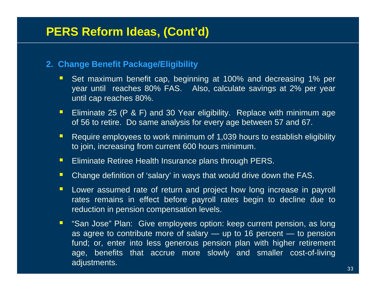#### **PERS Reform Ideas, (Cont'd)**

#### **2. Change Benefit Package/Eligibility**

- $\Box$  Set maximum benefit cap, beginning at 100% and decreasing 1% per year until reaches 80 % FAS. Also, calculate savings at 2 % per year until cap reaches 80%.
- $\Box$  Eliminate 25 (P & F) and 30 Year eligibility. Replace with minimum age of 56 to retire. Do same analysis for every age between 57 and 67.
- $\Box$  Require employees to work minimum of 1,039 hours to establish eligibility to join, increasing from current 600 hours minimum.
- $\Box$ **Eliminate Retiree Health Insurance plans through PERS.**
- $\Box$ Change definition of 'salary' in ways that would drive down the FAS.
- $\Box$  Lower assumed rate of return and project how long increase in payroll rates remains in effect before payroll rates begin to decline due to reduction in pension compensation levels.
- **T** "San Jose" Plan: Give employees option: keep current pension, as long as agree to contribute more of salary — up to 16 percent — to pension fund; or, enter into less generous pension plan with higher retirement age, benefits that accrue more slowly and smaller cost-of-living adjustments.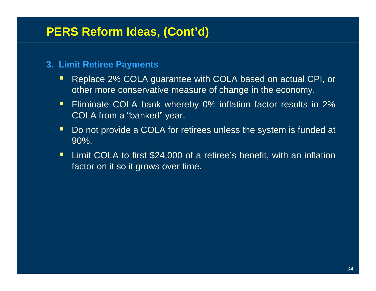#### **PERS Reform Ideas, (Cont'd)**

#### **3. Limit Retiree Payments**

- $\blacksquare$  Replace 2% COLA guarantee with COLA based on actual CPI, or other more conservative measure of change in the economy.
- $\blacksquare$  Eliminate COLA bank whereby 0% inflation factor results in 2% COLA from <sup>a</sup> "banked" year.
- $\Box$ Do not provide a COLA for retirees unless the system is funded at 90%.
- $\blacksquare$  Limit COLA to first \$24,000 of <sup>a</sup> retiree's benefit, with an inflation factor on it so it grows over time.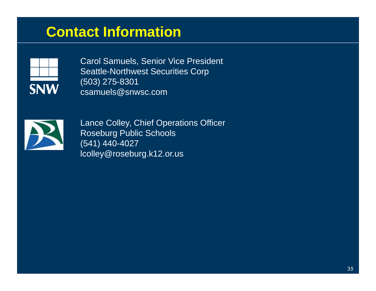# **Contact Information**



Carol Samuels, Senior Vice President Seattle-Northwest Securities Corp (503) 275-8301 csamuels@snwsc.com



Lance Colley, Chief Operations Officer Roseburg Public Schools (541) 440-4027 lcolley@roseburg.k12.or.us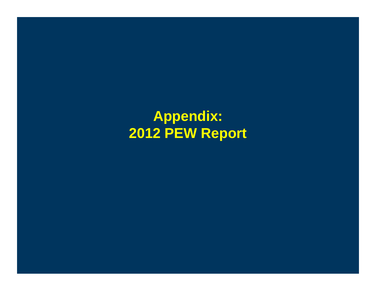**Appendix: 2012 PEW Report**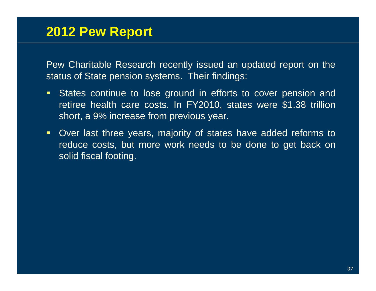#### **2012 Pew Report**

Pew Charitable Research recently issued an updated report on the status of State pension systems. Their findings:

- **States continue to lose ground in efforts to cover pension and** retiree health care costs. In FY2010, states were \$1.38 trillion short, <sup>a</sup> 9% increase from previous year.
- Over last three years, majority of states have added reforms to reduce costs, but more work needs to be done to get back on solid fiscal footing.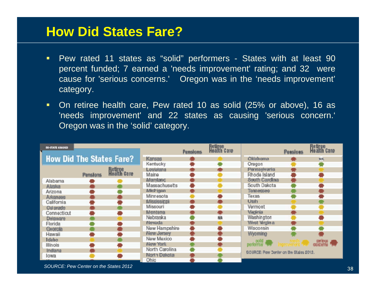### **How Did States Fare?**

- Pew rated 11 states as "solid" performers States with at least 90 percent funded; 7 earned <sup>a</sup> 'needs improvement' rating; and 32 were cause for 'serious concerns.' Oregon was in the 'needs improvement' category.
- On retiree health care, Pew rated 10 as solid (25% or above), 16 as 'needs improvement' and 22 states as causing 'serious concern.' Oregon was in the 'solid' category.

| <b>80-ITATE GRADES</b> |                                 |                        |                |                 | Retiree<br>Health Care |                                        |                 | Retires<br>Health Care |
|------------------------|---------------------------------|------------------------|----------------|-----------------|------------------------|----------------------------------------|-----------------|------------------------|
|                        |                                 |                        |                | <b>Pensions</b> |                        |                                        | <b>Pensions</b> |                        |
|                        | <b>How Did The States Fare?</b> |                        | Kansas         |                 |                        | Oldah oma                              |                 | N/A                    |
|                        |                                 |                        | Kentucky       |                 |                        | Oregon                                 |                 |                        |
|                        |                                 | Retiree<br>Health Care | Louisiana      |                 |                        | Pennsylvaria                           |                 |                        |
|                        | <b>Pensions</b>                 |                        | Maine          |                 |                        | Rhode Island                           |                 |                        |
| Alabama                |                                 |                        | Maryland       |                 |                        | South Cardina                          |                 |                        |
| <b>Alaska</b>          |                                 |                        | Massachusetts  |                 |                        | South Dakota                           |                 |                        |
| Arizona                |                                 |                        | Michigan       |                 |                        | Tennessee                              |                 |                        |
| Arkanses               |                                 |                        | Minnesota      |                 |                        | Texas                                  |                 |                        |
| California             |                                 |                        | Mississicpi    |                 |                        | Utah                                   |                 |                        |
| Colorado               |                                 |                        | Missouri       |                 |                        | Vermont                                |                 |                        |
| Connecticut            |                                 |                        | Montana        |                 |                        | Visolinia                              |                 |                        |
| Delaware               |                                 |                        | Nebraska       |                 | NA                     | Washington                             |                 |                        |
| Florida                |                                 |                        | Nevada         |                 |                        | West Virgin a                          |                 |                        |
| Georgia                |                                 |                        | New Hampshire  |                 |                        | Wisconsin                              |                 |                        |
| Hawaii                 |                                 |                        | New Jersey     |                 |                        | <b>Wyoming</b>                         |                 |                        |
| Idaho                  |                                 |                        | New Mexico     |                 |                        |                                        |                 | avibus                 |
| Illinois               |                                 |                        | New York       |                 |                        | parketnan <b>With</b>                  |                 |                        |
| Indiana                |                                 |                        | North Carolina |                 |                        | SOURCE: Pew Denter on the Stales 2012. |                 |                        |
| lowa                   |                                 |                        | North Dekota   |                 |                        |                                        |                 |                        |
|                        |                                 |                        | Ohio           |                 |                        |                                        |                 |                        |

*SOURCE: Pew Center on the States 2012*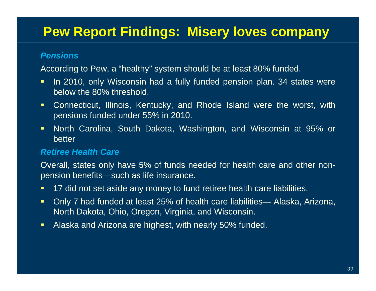## **Pew Report Findings: Misery loves company**

#### *P i ensions*

According to Pew, <sup>a</sup> "healthy" system should be at least 80% funded.

- $\blacksquare$  In 2010, only Wisconsin had <sup>a</sup> fully funded pension plan. 34 states were below the 80% threshold.
- $\blacksquare$  Connecticut, Illinois, Kentucky, and Rhode Island were the worst, with pensions funded under 55% in 2010.
- $\blacksquare$ • North Carolina, South Dakota, Washington, and Wisconsin at 95% or better

#### *Retiree Health Care*

Overall, states only have 5% of funds needed for health care and other nonpension benefits—such as life insurance.

- $\blacksquare$ 17 did not set aside any money to fund retiree health care liabilities.
- $\blacksquare$ • Only 7 had funded at least 25% of health care liabilities— Alaska, Arizona, North Dakota, Ohio, Oregon, Virginia, and Wisconsin.
- $\blacksquare$ Alaska and Arizona are highest, with nearly 50% funded.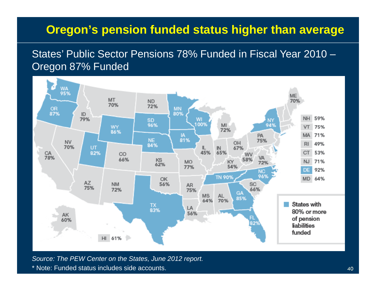#### **Oregon's pension funded status higher than average**

#### States' Public Sector Pensions 78% Funded in Fiscal Year 2010 – Oregon 87% Funded



*Source: The PEW Center on the States, June 2012 report.* \* Note: Funded status includes side accounts.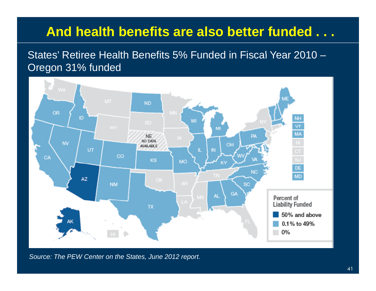## **And health benefits are also better funded . . .**

#### States' Retiree Health Benefits 5% Funded in Fiscal Year 2010 – Oregon 31% funded



*Source: The PEW Center on the States, June 2012 report.*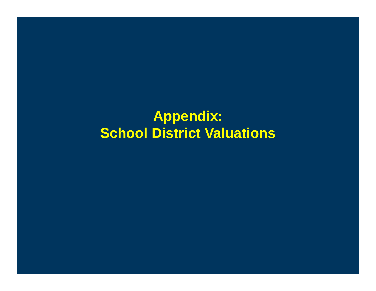# **Appendix: School District Valuations**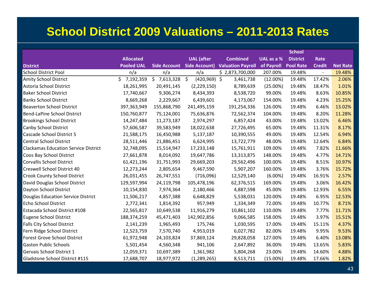#### **School District 2009 Valuations – 2011-2013 Rates**

|                                             |                   |                     |                      |                          |            | <b>School</b>    |                |                 |
|---------------------------------------------|-------------------|---------------------|----------------------|--------------------------|------------|------------------|----------------|-----------------|
|                                             | <b>Allocated</b>  |                     | <b>UAL</b> (after    | <b>Combined</b>          | UAL as a % | <b>District</b>  | Rate           |                 |
| <b>District</b>                             | <b>Pooled UAL</b> | <b>Side Account</b> | <b>Side Account)</b> | <b>Valuation Payroll</b> | of Payroll | <b>Pool Rate</b> | <b>Credit</b>  | <b>Net Rate</b> |
| <b>School District Pool</b>                 | n/a               | n/a                 | n/a                  | \$2,873,700,000          | 207.00%    | 19.48%           | $\overline{a}$ | 19.48%          |
| Amity School District                       | \$7,192,359       | \$<br>7,613,328     | \$<br>$(420,969)$ \$ | 3,461,738                | (12.00%)   | 19.48%           | 17.42%         | 2.06%           |
| Astoria School District                     | 18,261,995        | 20,491,145          | (2,229,150)          | 8,789,639                | (25.00%)   | 19.48%           | 18.47%         | 1.01%           |
| <b>Baker School District</b>                | 17,740,667        | 9,306,274           | 8,434,393            | 8,538,720                | 99.00%     | 19.48%           | 8.63%          | 10.85%          |
| <b>Banks School District</b>                | 8,669,268         | 2,229,667           | 6,439,601            | 4,173,067                | 154.00%    | 19.48%           | 4.23%          | 15.25%          |
| <b>Beaverton School District</b>            | 397,363,949       | 155,868,790         | 241,495,159          | 191,254,336              | 126.00%    | 19.48%           | 6.46%          | 13.02%          |
| <b>Bend-LaPine School District</b>          | 150,760,877       | 75,124,001          | 75,636,876           | 72,562,374               | 104.00%    | 19.48%           | 8.20%          | 11.28%          |
| <b>Brookings School District</b>            | 14,247,484        | 11,273,187          | 2,974,297            | 6,857,424                | 43.00%     | 19.48%           | 13.02%         | 6.46%           |
| Canby School District                       | 57,606,587        | 39,583,949          | 18,022,638           | 27,726,495               | 65.00%     | 19.48%           | 11.31%         | 8.17%           |
| Cascade School District 5                   | 21,588,175        | 16,450,988          | 5,137,187            | 10,390,555               | 49.00%     | 19.48%           | 12.54%         | 6.94%           |
| <b>Central School District</b>              | 28,511,446        | 21,886,451          | 6,624,995            | 13,722,779               | 48.00%     | 19.48%           | 12.64%         | 6.84%           |
| <b>Clackamas Education Service District</b> | 32,748,095        | 15,514,947          | 17,233,148           | 15,761,911               | 109.00%    | 19.48%           | 7.82%          | 11.66%          |
| Coos Bay School District                    | 27,661,878        | 8,014,092           | 19,647,786           | 13,313,875               | 148.00%    | 19.48%           | 4.77%          | 14.71%          |
| <b>Corvallis School District</b>            | 61,421,196        | 31,751,993          | 29,669,203           | 29,562,496               | 100.00%    | 19.48%           | 8.51%          | 10.97%          |
| Creswell School District 40                 | 12,273,244        | 2,805,654           | 9,467,590            | 5,907,207                | 160.00%    | 19.48%           | 3.76%          | 15.72%          |
| <b>Crook County School District</b>         | 26,031,455        | 26,747,551          | (716,096)            | 12,529,140               | $(6.00\%)$ | 19.48%           | 16.91%         | 2.57%           |
| David Douglas School District               | 129,597,994       | 24,119,798          | 105,478,196          | 62,376,515               | 169.00%    | 19.48%           | 3.06%          | 16.42%          |
| Dayton School District                      | 10,154,830        | 7,974,364           | 2,180,466            | 4,887,598                | 45.00%     | 19.48%           | 12.93%         | 6.55%           |
| <b>Douglas Education Service District</b>   | 11,506,217        | 4,857,388           | 6,648,829            | 5,538,031                | 120.00%    | 19.48%           | 6.95%          | 12.53%          |
| <b>Echo School District</b>                 | 2,772,341         | 1,814,392           | 957,949              | 1,334,349                | 72.00%     | 19.48%           | 10.77%         | 8.71%           |
| Estacada School District #108               | 22,565,817        | 10,649,538          | 11,916,279           | 10,861,102               | 110.00%    | 19.48%           | 7.77%          | 11.71%          |
| Eugene School District                      | 188,374,259       | 45,471,403          | 142,902,856          | 9,066,585                | 158.00%    | 19.48%           | 3.97%          | 15.51%          |
| <b>Falls City School District</b>           | 2,141,239         | 1,965,493           | 175,746              | 1,030,595                | 17.00%     | 19.48%           | 15.11%         | 4.37%           |
| Fern Ridge School District                  | 12,523,759        | 7,570,740           | 4,953,019            | 6,027,782                | 82.00%     | 19.48%           | 9.95%          | 9.53%           |
| Forest Grove School District                | 61,972,948        | 24,103,824          | 37,869,124           | 29,828,058               | 127.00%    | 19.48%           | 6.40%          | 13.08%          |
| <b>Gaston Public Schools</b>                | 5,501,454         | 4,560,348           | 941,106              | 2,647,892                | 36.00%     | 19.48%           | 13.65%         | 5.83%           |
| Gervais School District 1                   | 12,059,371        | 10,697,389          | 1,361,982            | 5,804,268                | 23.00%     | 19.48%           | 14.60%         | 4.88%           |
| Gladstone School District #115              | 17,688,707        | 18,977,972          | (1, 289, 265)        | 8,513,711                | (15.00%)   | 19.48%           | 17.66%         | 1.82%           |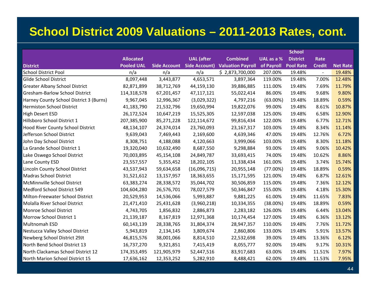#### **School District 2009 Valuations – 2011-2013 Rates, cont.**

|                                         |                   |                     |                      |                          |            | <b>School</b>    |                          |                 |
|-----------------------------------------|-------------------|---------------------|----------------------|--------------------------|------------|------------------|--------------------------|-----------------|
|                                         | <b>Allocated</b>  |                     | <b>UAL</b> (after    | <b>Combined</b>          | UAL as a % | <b>District</b>  | Rate                     |                 |
| <b>District</b>                         | <b>Pooled UAL</b> | <b>Side Account</b> | <b>Side Account)</b> | <b>Valuation Payroll</b> | of Payroll | <b>Pool Rate</b> | <b>Credit</b>            | <b>Net Rate</b> |
| <b>School District Pool</b>             | n/a               | n/a                 | n/a                  | \$2,873,700,000          | 207.00%    | 19.48%           | $\overline{\phantom{a}}$ | 19.48%          |
| <b>Glide School District</b>            | 8,097,448         | 3,443,877           | 4,653,571            | 3,897,364                | 119.00%    | 19.48%           | 7.00%                    | 12.48%          |
| <b>Greater Albany School District</b>   | 82,871,899        | 38,712,769          | 44,159,130           | 39,886,885               | 111.00%    | 19.48%           | 7.69%                    | 11.79%          |
| <b>Gresham-Barlow School District</b>   | 114,318,578       | 67,201,457          | 47,117,121           | 55,022,414               | 86.00%     | 19.48%           | 9.68%                    | 9.80%           |
| Harney County School District 3 (Burns) | 9,967,045         | 12,996,367          | (3,029,322)          | 4,797,216                | (63.00%)   | 19.48%           | 18.89%                   | 0.59%           |
| <b>Hermiston School District</b>        | 41,183,790        | 21,532,796          | 19,650,994           | 19,822,076               | 99.00%     | 19.48%           | 8.61%                    | 10.87%          |
| <b>High Desert ESD</b>                  | 26,172,524        | 10,647,219          | 15,525,305           | 12,597,038               | 125.00%    | 19.48%           | 6.58%                    | 12.90%          |
| Hillsboro School District 1             | 207,385,900       | 85,271,228          | 122,114,672          | 99,816,434               | 122.00%    | 19.48%           | 6.77%                    | 12.71%          |
| Hood River County School District       | 48,134,107        | 24,374,014          | 23,760,093           | 23,167,317               | 103.00%    | 19.48%           | 8.34%                    | 11.14%          |
| Jefferson School District               | 9,639,043         | 7,469,443           | 2,169,600            | 4,639,346                | 47.00%     | 19.48%           | 12.76%                   | 6.72%           |
| John Day School District                | 8,308,751         | 4,188,088           | 4,120,663            | 3,999,066                | 103.00%    | 19.48%           | 8.30%                    | 11.18%          |
| La Grande School District 1             | 19,320,040        | 10,632,490          | 8,687,550            | 9,298,884                | 93.00%     | 19.48%           | 9.06%                    | 10.42%          |
| Lake Oswego School District             | 70,003,895        | 45,154,108          | 24,849,787           | 33,693,415               | 74.00%     | 19.48%           | 10.62%                   | 8.86%           |
| Lane County ESD                         | 23,557,557        | 5,355,452           | 18,202,105           | 11,338,434               | 161.00%    | 19.48%           | 3.74%                    | 15.74%          |
| Lincoln County School District          | 43,537,943        | 59,634,658          | (16,096,715)         | 20,955,148               | (77.00%)   | 19.48%           | 18.89%                   | 0.59%           |
| <b>Madras School District</b>           | 31,521,612        | 13,157,957          | 18,363,655           | 15,171,595               | 121.00%    | 19.48%           | 6.87%                    | 12.61%          |
| McMinnville School District             | 63,383,274        | 28,338,572          | 35,044,702           | 30,506,859               | 115.00%    | 19.48%           | 7.36%                    | 12.12%          |
| Medford School District 549             | 104,604,280       | 26,576,701          | 78,027,579           | 50,346,847               | 155.00%    | 19.48%           | 4.18%                    | 15.30%          |
| Milton-Freewater School District        | 20,529,953        | 14,536,066          | 5,993,887            | 9,881,225                | 61.00%     | 19.48%           | 11.65%                   | 7.83%           |
| Molalla River School District           | 21,471,410        | 25,431,628          | (3,960,218)          | 10,334,355               | (38.00%)   | 19.48%           | 18.89%                   | 0.59%           |
| Monroe School District                  | 4,743,705         | 1,856,832           | 2,886,873            | 2,283,182                | 126.00%    | 19.48%           | 6.44%                    | 13.04%          |
| Morrow School District 1                | 21,139,187        | 8,167,819           | 12,971,368           | 10,174,454               | 127.00%    | 19.48%           | 6.36%                    | 13.12%          |
| Multnomah ESD                           | 60,143,139        | 28,338,765          | 31,804,374           | 28,947,357               | 110.00%    | 19.48%           | 7.76%                    | 11.72%          |
| Nestucca Valley School District         | 5,943,819         | 2,134,145           | 3,809,674            | 2,860,806                | 133.00%    | 19.48%           | 5.91%                    | 13.57%          |
| Newberg School District 29Jt            | 46,815,576        | 38,001,066          | 8,814,510            | 22,532,698               | 39.00%     | 19.48%           | 13.36%                   | 6.12%           |
| North Bend School District 13           | 16,737,270        | 9,321,851           | 7,415,419            | 8,055,777                | 92.00%     | 19.48%           | 9.17%                    | 10.31%          |
| North Clackamas School District 12      | 174,353,495       | 121,905,979         | 52,447,516           | 83,917,683               | 63.00%     | 19.48%           | 11.51%                   | 7.97%           |
| North Marion School District 15         | 17,636,162        | 12,353,252          | 5,282,910            | 8,488,421                | 62.00%     | 19.48%           | 11.53%                   | 7.95%           |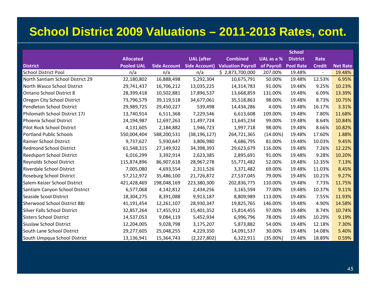#### **School District 2009 Valuations – 2011-2013 Rates, cont.**

|                                     |                   |                     |                      |                          |            | <b>School</b>    |                          |                 |
|-------------------------------------|-------------------|---------------------|----------------------|--------------------------|------------|------------------|--------------------------|-----------------|
|                                     | <b>Allocated</b>  |                     | <b>UAL</b> (after    | <b>Combined</b>          | UAL as a % | <b>District</b>  | Rate                     |                 |
| <b>District</b>                     | <b>Pooled UAL</b> | <b>Side Account</b> | <b>Side Account)</b> | <b>Valuation Payroll</b> | of Payroll | <b>Pool Rate</b> | <b>Credit</b>            | <b>Net Rate</b> |
| <b>School District Pool</b>         | n/a               | n/a                 | n/a                  | \$2,873,700,000          | 207.00%    | 19.48%           | $\overline{\phantom{a}}$ | 19.48%          |
| North Santiam School District 29    | 22,180,802        | 16,888,498          | 5,292,304            | 10,675,791               | 50.00%     | 19.48%           | 12.53%                   | 6.95%           |
| North Wasco School District         | 29,741,437        | 16,706,212          | 13,035,225           | 14,314,783               | 91.00%     | 19.48%           | 9.25%                    | 10.23%          |
| <b>Ontario School District 8</b>    | 28,399,418        | 10,502,881          | 17,896,537           | 13,668,859               | 131.00%    | 19.48%           | 6.09%                    | 13.39%          |
| Oregon City School District         | 73,796,579        | 39,119,518          | 34,677,061           | 35,518,863               | 98.00%     | 19.48%           | 8.73%                    | 10.75%          |
| <b>Pendleton School District</b>    | 29,989,725        | 29,450,227          | 539,498              | 14,434,286               | 4.00%      | 19.48%           | 16.17%                   | 3.31%           |
| Philomath School District 17J       | 13,740,914        | 6,511,368           | 7,229,546            | 6,613,608                | 109.00%    | 19.48%           | 7.80%                    | 11.68%          |
| <b>Phoenix School District</b>      | 24,194,987        | 12,697,263          | 11,497,724           | 11,645,234               | 99.00%     | 19.48%           | 8.64%                    | 10.84%          |
| <b>Pilot Rock School District</b>   | 4,131,605         | 2,184,882           | 1,946,723            | 1,997,718                | 98.00%     | 19.48%           | 8.66%                    | 10.82%          |
| <b>Portland Public Schools</b>      | 550,004,404       | 588,200,531         | (38, 196, 127)       | 264,721,365              | (14.00%)   | 19.48%           | 17.60%                   | 1.88%           |
| <b>Rainier School District</b>      | 9,737,627         | 5,930,647           | 3,806,980            | 4,686,795                | 81.00%     | 19.48%           | 10.03%                   | 9.45%           |
| <b>Redmond School District</b>      | 61,548,315        | 27,149,922          | 34,398,393           | 29,623,679               | 116.00%    | 19.48%           | 7.26%                    | 12.22%          |
| <b>Reedsport School District</b>    | 6,016,299         | 3,392,914           | 2,623,385            | 2,895,691                | 91.00%     | 19.48%           | 9.28%                    | 10.20%          |
| Reynolds School District            | 115,874,896       | 86,907,618          | 28,967,278           | 55,771,482               | 52.00%     | 19.48%           | 12.35%                   | 7.13%           |
| <b>Riverdale School District</b>    | 7,005,080         | 4,693,554           | 2,311,526            | 3,371,482                | 69.00%     | 19.48%           | 11.03%                   | 8.45%           |
| Roseburg School District            | 57,212,972        | 35,486,100          | 21,726,872           | 27,537,045               | 79.00%     | 19.48%           | 10.21%                   | 9.27%           |
| Salem-Keizer School District        | 421,428,469       | 198,048,169         | 223,380,300          | 202,836,775              | 110.00%    | 19.48%           | 7.73%                    | 11.75%          |
| Santiam Canyon School District      | 6,577,068         | 4,142,812           | 2,434,256            | 3,165,594                | 77.00%     | 19.48%           | 10.37%                   | 9.11%           |
| Seaside Scool District              | 18,304,275        | 8,391,088           | 9,913,187            | 8,809,989                | 113.00%    | 19.48%           | 7.55%                    | 11.93%          |
| Sherwood School District 88J        | 41,191,454        | 12,261,107          | 28,930,347           | 19,825,765               | 146.00%    | 19.48%           | 4.90%                    | 14.58%          |
| <b>Silver Falls School District</b> | 32,857,264        | 17,455,912          | 15,401,352           | 15,814,455               | 97.00%     | 19.48%           | 8.74%                    | 10.74%          |
| <b>Sisters School District</b>      | 14,537,053        | 9,084,119           | 5,452,934            | 6,996,796                | 78.00%     | 19.48%           | 10.29%                   | 9.19%           |
| <b>Siuslaw School District</b>      | 12,204,005        | 9,028,798           | 3,175,207            | 5,873,882                | 54.00%     | 19.48%           | 12.18%                   | 7.30%           |
| South Lane School District          | 29,277,605        | 25,048,255          | 4,229,350            | 14,091,537               | 30.00%     | 19.48%           | 14.08%                   | 5.40%           |
| South Umpqua School District        | 13,136,941        | 15,364,743          | (2, 227, 802)        | 6,322,911                | (35.00%)   | 19.48%           | 18.89%                   | 0.59%           |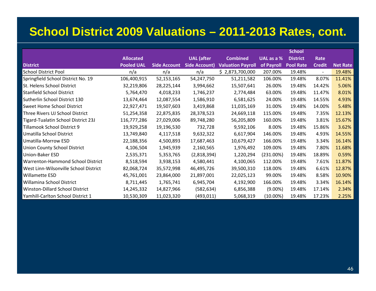#### **School District 2009 Valuations – 2011-2013 Rates, cont.**

|                                       |                   |                     |                      |                          |             | <b>School</b>    |                          |                 |
|---------------------------------------|-------------------|---------------------|----------------------|--------------------------|-------------|------------------|--------------------------|-----------------|
|                                       | <b>Allocated</b>  |                     | <b>UAL</b> (after    | <b>Combined</b>          | UAL as a %  | <b>District</b>  | Rate                     |                 |
| <b>District</b>                       | <b>Pooled UAL</b> | <b>Side Account</b> | <b>Side Account)</b> | <b>Valuation Payroll</b> | of Payroll  | <b>Pool Rate</b> | <b>Credit</b>            | <b>Net Rate</b> |
| <b>School District Pool</b>           | n/a               | n/a                 | n/a                  | \$2,873,700,000          | 207.00%     | 19.48%           | $\overline{\phantom{a}}$ | 19.48%          |
| Springfield School District No. 19    | 106,400,915       | 52,153,165          | 54,247,750           | 51,211,582               | 106.00%     | 19.48%           | 8.07%                    | 11.41%          |
| St. Helens School District            | 32,219,806        | 28,225,144          | 3,994,662            | 15,507,641               | 26.00%      | 19.48%           | 14.42%                   | 5.06%           |
| <b>Stanfield School District</b>      | 5,764,470         | 4,018,233           | 1,746,237            | 2,774,484                | 63.00%      | 19.48%           | 11.47%                   | 8.01%           |
| Sutherlin School District 130         | 13,674,464        | 12,087,554          | 1,586,910            | 6,581,625                | 24.00%      | 19.48%           | 14.55%                   | 4.93%           |
| Sweet Home School District            | 22,927,471        | 19,507,603          | 3,419,868            | 11,035,169               | 31.00%      | 19.48%           | 14.00%                   | 5.48%           |
| Three Rivers UJ School District       | 51,254,358        | 22,875,835          | 28,378,523           | 24,669,118               | 115.00%     | 19.48%           | 7.35%                    | 12.13%          |
| Tigard-Tualatin School District 23J   | 116,777,286       | 27,029,006          | 89,748,280           | 56,205,809               | 160.00%     | 19.48%           | 3.81%                    | 15.67%          |
| Tillamook School District 9           | 19,929,258        | 19,196,530          | 732,728              | 9,592,106                | 8.00%       | 19.48%           | 15.86%                   | 3.62%           |
| Umatilla School District              | 13,749,840        | 4,117,518           | 9,632,322            | 6,617,904                | 146.00%     | 19.48%           | 4.93%                    | 14.55%          |
| Umatilla-Morrow ESD                   | 22,188,356        | 4,500,893           | 17,687,463           | 10,679,427               | 166.00%     | 19.48%           | 3.34%                    | 16.14%          |
| <b>Union County School District</b>   | 4,106,504         | 1,945,939           | 2,160,565            | 1,976,492                | 109.00%     | 19.48%           | 7.80%                    | 11.68%          |
| Union-Baker ESD                       | 2,535,371         | 5,353,765           | (2,818,394)          | 1,220,294                | (231.00%)   | 19.48%           | 18.89%                   | 0.59%           |
| Warrenton-Hammond School District     | 8,518,594         | 3,938,153           | 4,580,441            | 4,100,065                | 112.00%     | 19.48%           | 7.61%                    | 11.87%          |
| West Linn-Wilsonville School District | 82,068,724        | 35,572,998          | 46,495,726           | 39,500,310               | 118.00%     | 19.48%           | 6.61%                    | 12.87%          |
| Willamette ESD                        | 45,761,001        | 23,864,000          | 21,897,001           | 22,025,123               | 99.00%      | 19.48%           | 8.58%                    | 10.90%          |
| Willamina School District             | 8,711,445         | 1,765,741           | 6,945,704            | 4,192,900                | 166.00%     | 19.48%           | 3.34%                    | 16.14%          |
| Winston-Dillard School District       | 14,245,332        | 14,827,966          | (582, 634)           | 6,856,388                | $(9.00\%)$  | 19.48%           | 17.14%                   | 2.34%           |
| Yamhill-Carlton School District 1     | 10,530,309        | 11,023,320          | (493, 011)           | 5,068,319                | $(10.00\%)$ | 19.48%           | 17.23%                   | 2.25%           |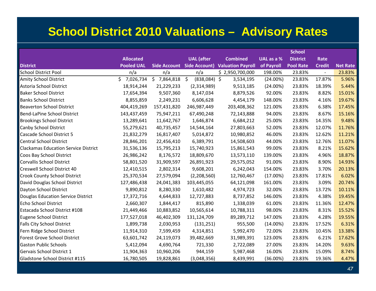# **School District 2010 Valuations – Advisory Rates**

|                                             |                   |                 |                            |                          |            | <b>School</b>    |                          |                 |
|---------------------------------------------|-------------------|-----------------|----------------------------|--------------------------|------------|------------------|--------------------------|-----------------|
|                                             | <b>Allocated</b>  |                 | <b>UAL</b> (after          | <b>Combined</b>          | UAL as a % | <b>District</b>  | Rate                     |                 |
| <b>District</b>                             | <b>Pooled UAL</b> |                 | Side Account Side Account) | <b>Valuation Payroll</b> | of Payroll | <b>Pool Rate</b> | <b>Credit</b>            | <b>Net Rate</b> |
| <b>School District Pool</b>                 | n/a               | n/a             | n/a                        | \$2,950,700,000          | 198.00%    | 23.83%           | $\overline{\phantom{a}}$ | 23.83%          |
| <b>Amity School District</b>                | Ś.<br>7,026,734   | \$<br>7,864,818 | \$<br>$(838,084)$ \$       | 3,534,195                | (24.00%)   | 23.83%           | 17.87%                   | 5.96%           |
| Astoria School District                     | 18,914,244        | 21,229,233      | (2,314,989)                | 9,513,185                | (24.00%)   | 23.83%           | 18.39%                   | 5.44%           |
| <b>Baker School District</b>                | 17,654,394        | 9,507,360       | 8,147,034                  | 8,879,526                | 92.00%     | 23.83%           | 8.82%                    | 15.01%          |
| <b>Banks School District</b>                | 8,855,859         | 2,249,231       | 6,606,628                  | 4,454,179                | 148.00%    | 23.83%           | 4.16%                    | 19.67%          |
| <b>Beaverton School District</b>            | 404,419,269       | 157,431,820     | 246,987,449                | 203,408,362              | 121.00%    | 23.83%           | 6.38%                    | 17.45%          |
| <b>Bend-LaPine School District</b>          | 143,437,459       | 75,947,211      | 67,490,248                 | 72,143,888               | 94.00%     | 23.83%           | 8.67%                    | 15.16%          |
| <b>Brookings School District</b>            | 13,289,641        | 11,642,767      | 1,646,874                  | 6,684,212                | 25.00%     | 23.83%           | 14.35%                   | 9.48%           |
| Canby School District                       | 55,279,621        | 40,735,457      | 14,544,164                 | 27,803,663               | 52.00%     | 23.83%           | 12.07%                   | 11.76%          |
| <b>Cascade School District 5</b>            | 21,832,279        | 16,817,407      | 5,014,872                  | 10,980,852               | 46.00%     | 23.83%           | 12.62%                   | 11.21%          |
| <b>Central School District</b>              | 28,846,201        | 22,456,410      | 6,389,791                  | 14,508,603               | 44.00%     | 23.83%           | 12.76%                   | 11.07%          |
| <b>Clackamas Education Service District</b> | 31,536,136        | 15,795,213      | 15,740,923                 | 15,861,543               | 99.00%     | 23.83%           | 8.21%                    | 15.62%          |
| Coos Bay School District                    | 26,986,242        | 8,176,572       | 18,809,670                 | 13,573,110               | 139.00%    | 23.83%           | 4.96%                    | 18.87%          |
| <b>Corvallis School District</b>            | 58,801,520        | 31,909,597      | 26,891,923                 | 29,575,052               | 91.00%     | 23.83%           | 8.90%                    | 14.93%          |
| Creswell School District 40                 | 12,410,515        | 2,802,314       | 9,608,201                  | 6,242,043                | 154.00%    | 23.83%           | 3.70%                    | 20.13%          |
| <b>Crook County School District</b>         | 25,370,534        | 27,579,094      | (2,208,560)                | 12,760,467               | (17.00%)   | 23.83%           | 17.81%                   | 6.02%           |
| David Douglas School District               | 127,486,438       | 24,041,383      | 103,445,055                | 64,121,098               | 161.00%    | 23.83%           | 3.09%                    | 20.74%          |
| Dayton School District                      | 9,890,812         | 8,280,330       | 1,610,482                  | 4,974,723                | 32.00%     | 23.83%           | 13.72%                   | 10.11%          |
| <b>Douglas Education Service District</b>   | 17,372,716        | 4,644,833       | 12,727,883                 | 8,737,852                | 146.00%    | 23.83%           | 4.38%                    | 19.45%          |
| <b>Echo School District</b>                 | 2,660,307         | 1,844,417       | 815,890                    | 1,338,039                | 61.00%     | 23.83%           | 11.36%                   | 12.47%          |
| Estacada School District #108               | 21,449,466        | 10,883,852      | 10,565,614                 | 10,788,311               | 98.00%     | 23.83%           | 8.31%                    | 15.52%          |
| <b>Eugene School District</b>               | 177,527,018       | 46,402,309      | 131,124,709                | 89,289,712               | 147.00%    | 23.83%           | 4.28%                    | 19.55%          |
| <b>Falls City School District</b>           | 1,899,738         | 2,030,953       | (131, 251)                 | 955,500                  | (14.00%)   | 23.83%           | 17.52%                   | 6.31%           |
| Fern Ridge School District                  | 11,914,310        | 7,599,459       | 4,314,851                  | 5,992,470                | 72.00%     | 23.83%           | 10.45%                   | 13.38%          |
| <b>Forest Grove School District</b>         | 63,601,742        | 24,119,073      | 39,482,669                 | 31,989,391               | 123.00%    | 23.83%           | 6.21%                    | 17.62%          |
| <b>Gaston Public Schools</b>                | 5,412,094         | 4,690,764       | 721,330                    | 2,722,089                | 27.00%     | 23.83%           | 14.20%                   | 9.63%           |
| Gervais School District 1                   | 11,904,363        | 10,960,206      | 944,159                    | 5,987,468                | 16.00%     | 23.83%           | 15.09%                   | 8.74%           |
| Gladstone School District #115              | 16,780,505        | 19,828,861      | (3,048,356)                | 8,439,991                | (36.00%)   | 23.83%           | 19.36%                   | 4.47%           |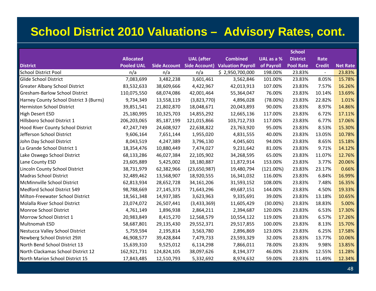#### **School District 2010 Valuations – Advisory Rates, cont.**

|                                         |                   |              |                            |                          |             | <b>School</b>    |                          |                 |
|-----------------------------------------|-------------------|--------------|----------------------------|--------------------------|-------------|------------------|--------------------------|-----------------|
|                                         | <b>Allocated</b>  |              | <b>UAL</b> (after          | <b>Combined</b>          | UAL as a %  | <b>District</b>  | Rate                     |                 |
| <b>District</b>                         | <b>Pooled UAL</b> |              | Side Account Side Account) | <b>Valuation Payroll</b> | of Payroll  | <b>Pool Rate</b> | <b>Credit</b>            | <b>Net Rate</b> |
| <b>School District Pool</b>             | n/a               | n/a          | n/a                        | \$2,950,700,000          | 198.00%     | 23.83%           | $\overline{\phantom{a}}$ | 23.83%          |
| Glide School District                   | 7,083,699         | 3,482,238    | 3,601,461                  | 3,562,846                | 101.00%     | 23.83%           | 8.05%                    | 15.78%          |
| <b>Greater Albany School District</b>   | 83,532,633        | 38,609,666   | 4,422,967                  | 42,013,913               | 107.00%     | 23.83%           | 7.57%                    | 16.26%          |
| <b>Gresham-Barlow School District</b>   | 110,075,550       | 68,074,086   | 42,001,464                 | 55,364,047               | 76.00%      | 23.83%           | 10.14%                   | 13.69%          |
| Harney County School District 3 (Burns) | 9,734,349         | 13,558,119   | (3,823,770)                | 4,896,028                | (78.00%)    | 23.83%           | 22.82%                   | 1.01%           |
| <b>Hermiston School District</b>        | 39,851,541        | 21,802,870   | 18,048,671                 | 20,043,893               | 90.00%      | 23.83%           | 8.97%                    | 14.86%          |
| <b>High Desert ESD</b>                  | 25,180,995        | 10,325,703   | 14,855,292                 | 12,665,136               | 117.00%     | 23.83%           | 6.72%                    | 17.11%          |
| Hillsboro School District 1             | 206,203,065       | 85,187,199   | 121,015,866                | 103,712,733              | 117.00%     | 23.83%           | 6.77%                    | 17.06%          |
| Hood River County School District       | 47,247,749        | 24,608,927   | 22,638,822                 | 23,763,920               | 95.00%      | 23.83%           | 8.53%                    | 15.30%          |
| Jefferson School District               | 9,606,164         | 7,651,144    | 1,955,020                  | 4,831,555                | 40.00%      | 23.83%           | 13.05%                   | 10.78%          |
| John Day School District                | 8,043,519         | 4,247,389    | 3,796,130                  | 4,045,601                | 94.00%      | 23.83%           | 8.65%                    | 15.18%          |
| La Grande School District 1             | 18,354,476        | 10,880,449   | 7,474,027                  | 9,231,642                | 81.00%      | 23.83%           | 9.71%                    | 14.12%          |
| Lake Oswego School District             | 68,133,286        | 46,027,384   | 22,105,902                 | 34,268,595               | 65.00%      | 23.83%           | 11.07%                   | 12.76%          |
| Lane County ESD                         | 23,605,889        | 5,425,002    | 18,180,887                 | 11,872,914               | 153.00%     | 23.83%           | 3.77%                    | 20.06%          |
| Lincoln County School District          | 38,731,979        | 62,382,966   | (23,650,987)               | 19,480,794               | (121.00%)   | 23.83%           | 23.17%                   | 0.66%           |
| <b>Madras School District</b>           | 32,489,462        | 13,568,907   | 18,920,555                 | 16,341,032               | 116.00%     | 23.83%           | 6.84%                    | 16.99%          |
| McMinnville School District             | 62,813,934        | 28,652,728   | 34,161,206                 | 31,593,152               | 108.00%     | 23.83%           | 7.48%                    | 16.35%          |
| Medford School District 549             | 98,788,669        | 27, 145, 373 | 71,643,296                 | 49,687,151               | 144.00%     | 23.83%           | 4.50%                    | 19.33%          |
| Milton-Freewater School District        | 18,561,348        | 14,937,385   | 3,623,963                  | 9,335,691                | 39.00%      | 23.83%           | 13.18%                   | 10.65%          |
| Molalla River School District           | 23,074,072        | 26,507,441   | (3,433,369)                | 11,605,429               | $(30.00\%)$ | 23.83%           | 18.83%                   | 5.00%           |
| Monroe School District                  | 4,761,149         | 1,896,938    | 2,864,211                  | 2,394,687                | 120.00%     | 23.83%           | 6.53%                    | 17.30%          |
| Morrow School District 1                | 20,983,849        | 8,415,270    | 12,568,579                 | 10,554,122               | 119.00%     | 23.83%           | 6.57%                    | 17.26%          |
| Multnomah ESD                           | 58,687,801        | 29,135,430   | 29,552,371                 | 29,517,855               | 100.00%     | 23.83%           | 8.13%                    | 15.70%          |
| Nestucca Valley School District         | 5,759,594         | 2,195,814    | 3,563,780                  | 2,896,869                | 123.00%     | 23.83%           | 6.25%                    | 17.58%          |
| Newberg School District 29Jt            | 46,908,577        | 39,428,844   | 7,479,733                  | 23,593,329               | 32.00%      | 23.83%           | 13.77%                   | 10.06%          |
| North Bend School District 13           | 15,639,310        | 9,525,012    | 6,114,298                  | 7,866,011                | 78.00%      | 23.83%           | 9.98%                    | 13.85%          |
| North Clackamas School District 12      | 162,921,731       | 124,824,105  | 38,097,626                 | 8,194,377                | 46.00%      | 23.83%           | 12.55%                   | 11.28%          |
| North Marion School District 15         | 17,843,485        | 12,510,793   | 5,332,692                  | 8,974,632                | 59.00%      | 23.83%           | 11.49%                   | 12.34%          |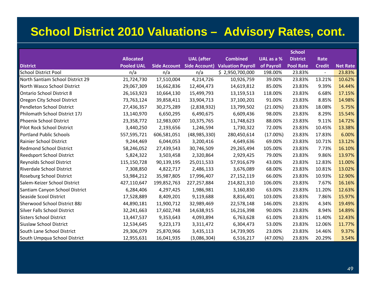#### **School District 2010 Valuations – Advisory Rates, cont.**

|                                     |                   |                     |                      |                          |                   | <b>School</b>    |                          |                 |
|-------------------------------------|-------------------|---------------------|----------------------|--------------------------|-------------------|------------------|--------------------------|-----------------|
|                                     | <b>Allocated</b>  |                     | <b>UAL</b> (after    | <b>Combined</b>          | <b>UAL as a %</b> | <b>District</b>  | Rate                     |                 |
| <b>District</b>                     | <b>Pooled UAL</b> | <b>Side Account</b> | <b>Side Account)</b> | <b>Valuation Payroll</b> | of Payroll        | <b>Pool Rate</b> | <b>Credit</b>            | <b>Net Rate</b> |
| <b>School District Pool</b>         | n/a               | n/a                 | n/a                  | \$2,950,700,000          | 198.00%           | 23.83%           | $\overline{\phantom{a}}$ | 23.83%          |
| North Santiam School District 29    | 21,724,730        | 17,510,004          | 4,214,726            | 10,926,759               | 39.00%            | 23.83%           | 13.21%                   | 10.62%          |
| North Wasco School District         | 29,067,309        | 16,662,836          | 12,404,473           | 14,619,812               | 85.00%            | 23.83%           | 9.39%                    | 14.44%          |
| <b>Ontario School District 8</b>    | 26,163,923        | 10,664,130          | 15,499,793           | 13,159,513               | 118.00%           | 23.83%           | 6.68%                    | 17.15%          |
| Oregon City School District         | 73,763,124        | 39,858,411          | 33,904,713           | 37,100,201               | 91.00%            | 23.83%           | 8.85%                    | 14.98%          |
| Pendleton School District           | 27,436,357        | 30,275,289          | (2,838,932)          | 13,799,502               | (21.00%)          | 23.83%           | 18.08%                   | 5.75%           |
| Philomath School District 17J       | 13,140,970        | 6,650,295           | 6,490,675            | 6,609,436                | 98.00%            | 23.83%           | 8.29%                    | 15.54%          |
| <b>Phoenix School District</b>      | 23,358,772        | 12,983,007          | 10,375,765           | 11,748,623               | 88.00%            | 23.83%           | 9.11%                    | 14.72%          |
| Pilot Rock School District          | 3,440,250         | 2,193,656           | 1,246,594            | 1,730,322                | 72.00%            | 23.83%           | 10.45%                   | 13.38%          |
| <b>Portland Public Schools</b>      | 557,595,721       | 606,581,051         | (48, 985, 330)       | 280,450,614              | (17.00%)          | 23.83%           | 17.83%                   | 6.00%           |
| Rainier School District             | 9,244,469         | 6,044,053           | 3,200,416            | 4,649,636                | 69.00%            | 23.83%           | 10.71%                   | 13.12%          |
| <b>Redmond School District</b>      | 58,246,052        | 27,439,543          | 30,746,509           | 29,265,494               | 105.00%           | 23.83%           | 7.73%                    | 16.10%          |
| <b>Reedsport School District</b>    | 5,824,322         | 3,503,458           | 2,320,864            | 2,929,425                | 79.00%            | 23.83%           | 9.86%                    | 13.97%          |
| Reynolds School District            | 115,150,728       | 90,139,195          | 25,011,533           | 57,916,679               | 43.00%            | 23.83%           | 12.83%                   | 11.00%          |
| <b>Riverdale School District</b>    | 7,308,850         | 4,822,717           | 2,486,133            | 3,676,089                | 68.00%            | 23.83%           | 10.81%                   | 13.02%          |
| Roseburg School District            | 53,984,212        | 35,987,805          | 17,996,407           | 27,152,119               | 66.00%            | 23.83%           | 10.93%                   | 12.90%          |
| Salem-Keizer School District        | 427,110,647       | 199,852,763         | 227,257,884          | 214,821,310              | 106.00%           | 23.83%           | 7.67%                    | 16.16%          |
| Santiam Canyon School District      | 6,284,406         | 4,297,425           | 1,986,981            | 3,160,830                | 63.00%            | 23.83%           | 11.20%                   | 12.63%          |
| Seaside Scool District              | 17,528,889        | 8,409,201           | 9,119,688            | 8,816,401                | 103.00%           | 23.83%           | 7.86%                    | 15.97%          |
| Sherwood School District 88J        | 44,890,181        | 11,900,712          | 32,989,469           | 22,578,148               | 146.00%           | 23.83%           | 4.34%                    | 19.49%          |
| <b>Silver Falls School District</b> | 32,241,663        | 17,602,748          | 14,638,915           | 16,216,398               | 90.00%            | 23.83%           | 8.94%                    | 14.89%          |
| <b>Sisters School District</b>      | 13,447,537        | 9,353,643           | 4,093,894            | 6,763,628                | 61.00%            | 23.83%           | 11.40%                   | 12.43%          |
| <b>Siuslaw School District</b>      | 12,534,645        | 9,223,173           | 3,311,472            | 6,304,473                | 53.00%            | 23.83%           | 12.06%                   | 11.77%          |
| South Lane School District          | 29,306,079        | 25,870,966          | 3,435,113            | 14,739,905               | 23.00%            | 23.83%           | 14.46%                   | 9.37%           |
| South Umpqua School District        | 12,955,631        | 16,041,935          | (3,086,304)          | 6,516,217                | (47.00%)          | 23.83%           | 20.29%                   | 3.54%           |